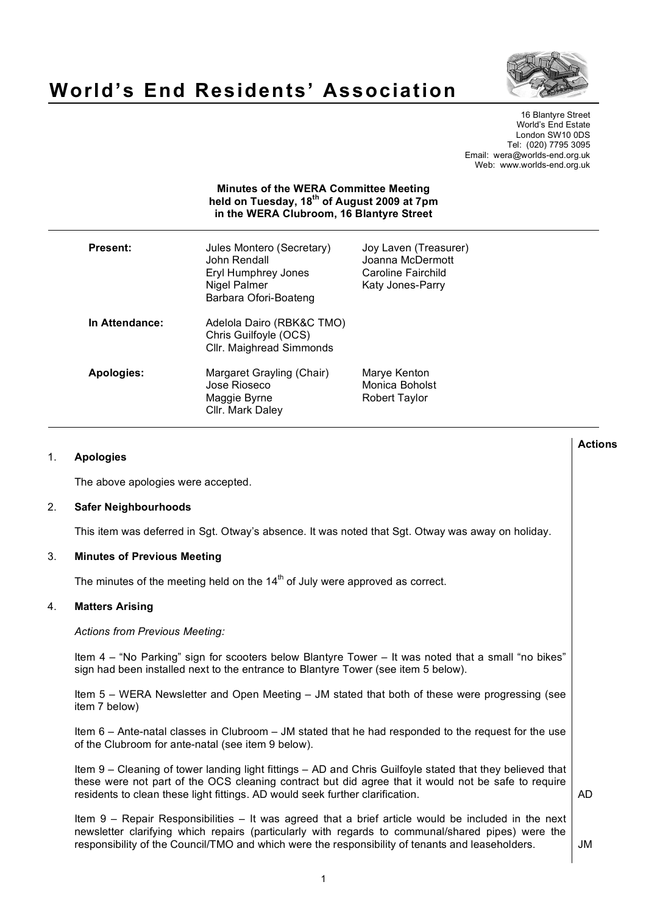

# **World's End Residents' Association**

16 Blantyre Street World's End Estate London SW10 0DS Tel: (020) 7795 3095 Email: wera@worlds-end.org.uk Web: www.worlds-end.org.uk

| <b>Minutes of the WERA Committee Meeting</b><br>held on Tuesday, 18 <sup>th</sup> of August 2009 at 7pm<br>in the WERA Clubroom, 16 Blantyre Street |                                                                                                           |                                                                                     |  |
|-----------------------------------------------------------------------------------------------------------------------------------------------------|-----------------------------------------------------------------------------------------------------------|-------------------------------------------------------------------------------------|--|
| <b>Present:</b>                                                                                                                                     | Jules Montero (Secretary)<br>John Rendall<br>Eryl Humphrey Jones<br>Nigel Palmer<br>Barbara Ofori-Boateng | Joy Laven (Treasurer)<br>Joanna McDermott<br>Caroline Fairchild<br>Katy Jones-Parry |  |
| In Attendance:                                                                                                                                      | Adelola Dairo (RBK&C TMO)<br>Chris Guilfoyle (OCS)<br>Cllr. Maighread Simmonds                            |                                                                                     |  |
| <b>Apologies:</b>                                                                                                                                   | Margaret Grayling (Chair)<br>Jose Rioseco<br>Maggie Byrne<br>Cllr. Mark Daley                             | Marye Kenton<br>Monica Boholst<br><b>Robert Taylor</b>                              |  |

# 1. **Apologies**

The above apologies were accepted.

# 2. **Safer Neighbourhoods**

This item was deferred in Sgt. Otway's absence. It was noted that Sgt. Otway was away on holiday.

# 3. **Minutes of Previous Meeting**

The minutes of the meeting held on the  $14<sup>th</sup>$  of July were approved as correct.

#### 4. **Matters Arising**

*Actions from Previous Meeting:*

Item 4 – "No Parking" sign for scooters below Blantyre Tower – It was noted that a small "no bikes" sign had been installed next to the entrance to Blantyre Tower (see item 5 below).

Item 5 – WERA Newsletter and Open Meeting – JM stated that both of these were progressing (see item 7 below)

Item 6 – Ante-natal classes in Clubroom – JM stated that he had responded to the request for the use of the Clubroom for ante-natal (see item 9 below).

Item 9 – Cleaning of tower landing light fittings – AD and Chris Guilfoyle stated that they believed that these were not part of the OCS cleaning contract but did agree that it would not be safe to require residents to clean these light fittings. AD would seek further clarification.

AD

**Actions**

Item 9 – Repair Responsibilities – It was agreed that a brief article would be included in the next newsletter clarifying which repairs (particularly with regards to communal/shared pipes) were the responsibility of the Council/TMO and which were the responsibility of tenants and leaseholders.

JM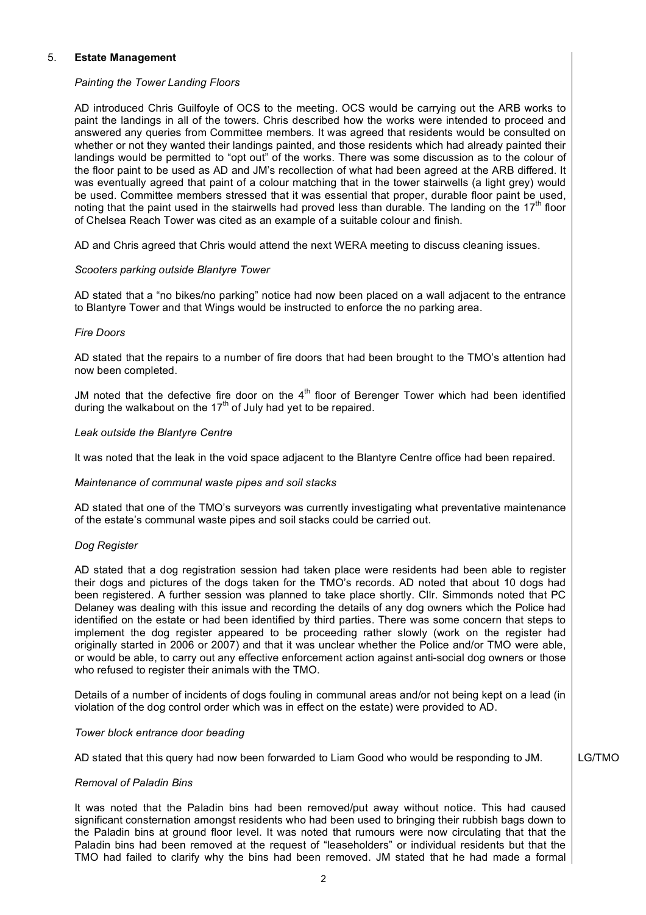# 5. **Estate Management**

# *Painting the Tower Landing Floors*

AD introduced Chris Guilfoyle of OCS to the meeting. OCS would be carrying out the ARB works to paint the landings in all of the towers. Chris described how the works were intended to proceed and answered any queries from Committee members. It was agreed that residents would be consulted on whether or not they wanted their landings painted, and those residents which had already painted their landings would be permitted to "opt out" of the works. There was some discussion as to the colour of the floor paint to be used as AD and JM's recollection of what had been agreed at the ARB differed. It was eventually agreed that paint of a colour matching that in the tower stairwells (a light grey) would be used. Committee members stressed that it was essential that proper, durable floor paint be used, noting that the paint used in the stairwells had proved less than durable. The landing on the  $17<sup>th</sup>$  floor of Chelsea Reach Tower was cited as an example of a suitable colour and finish.

AD and Chris agreed that Chris would attend the next WERA meeting to discuss cleaning issues.

# *Scooters parking outside Blantyre Tower*

AD stated that a "no bikes/no parking" notice had now been placed on a wall adjacent to the entrance to Blantyre Tower and that Wings would be instructed to enforce the no parking area.

# *Fire Doors*

AD stated that the repairs to a number of fire doors that had been brought to the TMO's attention had now been completed.

JM noted that the defective fire door on the  $4<sup>th</sup>$  floor of Berenger Tower which had been identified during the walkabout on the  $17<sup>th</sup>$  of July had yet to be repaired.

# *Leak outside the Blantyre Centre*

It was noted that the leak in the void space adjacent to the Blantyre Centre office had been repaired.

# *Maintenance of communal waste pipes and soil stacks*

AD stated that one of the TMO's surveyors was currently investigating what preventative maintenance of the estate's communal waste pipes and soil stacks could be carried out.

# *Dog Register*

AD stated that a dog registration session had taken place were residents had been able to register their dogs and pictures of the dogs taken for the TMO's records. AD noted that about 10 dogs had been registered. A further session was planned to take place shortly. Cllr. Simmonds noted that PC Delaney was dealing with this issue and recording the details of any dog owners which the Police had identified on the estate or had been identified by third parties. There was some concern that steps to implement the dog register appeared to be proceeding rather slowly (work on the register had originally started in 2006 or 2007) and that it was unclear whether the Police and/or TMO were able, or would be able, to carry out any effective enforcement action against anti-social dog owners or those who refused to register their animals with the TMO.

Details of a number of incidents of dogs fouling in communal areas and/or not being kept on a lead (in violation of the dog control order which was in effect on the estate) were provided to AD.

# *Tower block entrance door beading*

AD stated that this query had now been forwarded to Liam Good who would be responding to JM.

LG/TMO

# *Removal of Paladin Bins*

It was noted that the Paladin bins had been removed/put away without notice. This had caused significant consternation amongst residents who had been used to bringing their rubbish bags down to the Paladin bins at ground floor level. It was noted that rumours were now circulating that that the Paladin bins had been removed at the request of "leaseholders" or individual residents but that the TMO had failed to clarify why the bins had been removed. JM stated that he had made a formal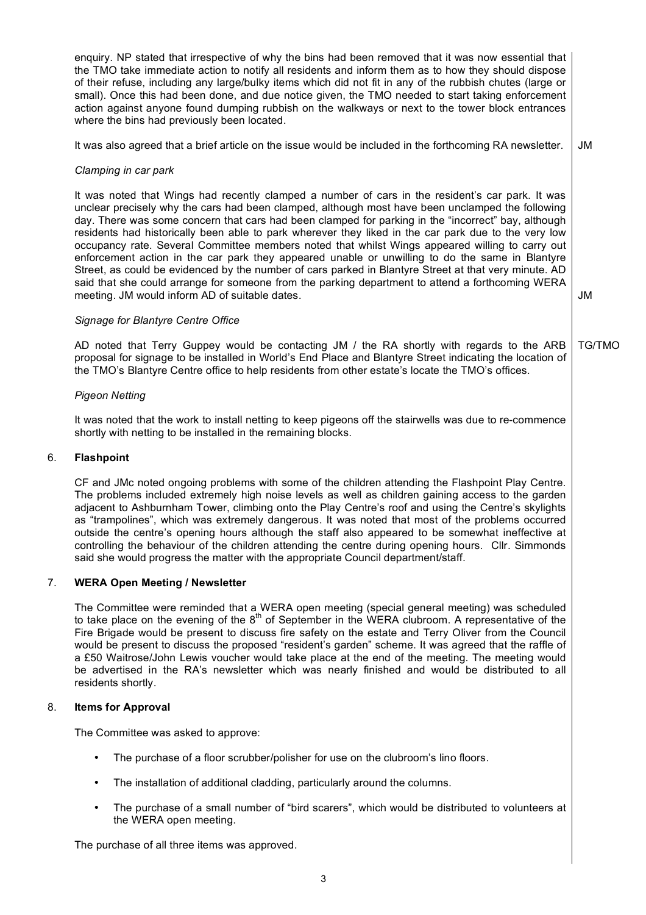enquiry. NP stated that irrespective of why the bins had been removed that it was now essential that the TMO take immediate action to notify all residents and inform them as to how they should dispose of their refuse, including any large/bulky items which did not fit in any of the rubbish chutes (large or small). Once this had been done, and due notice given, the TMO needed to start taking enforcement action against anyone found dumping rubbish on the walkways or next to the tower block entrances where the bins had previously been located.

It was also agreed that a brief article on the issue would be included in the forthcoming RA newsletter. JM

# *Clamping in car park*

It was noted that Wings had recently clamped a number of cars in the resident's car park. It was unclear precisely why the cars had been clamped, although most have been unclamped the following day. There was some concern that cars had been clamped for parking in the "incorrect" bay, although residents had historically been able to park wherever they liked in the car park due to the very low occupancy rate. Several Committee members noted that whilst Wings appeared willing to carry out enforcement action in the car park they appeared unable or unwilling to do the same in Blantyre Street, as could be evidenced by the number of cars parked in Blantyre Street at that very minute. AD said that she could arrange for someone from the parking department to attend a forthcoming WERA meeting. JM would inform AD of suitable dates.

JM

#### *Signage for Blantyre Centre Office*

AD noted that Terry Guppey would be contacting JM / the RA shortly with regards to the ARB proposal for signage to be installed in World's End Place and Blantyre Street indicating the location of the TMO's Blantyre Centre office to help residents from other estate's locate the TMO's offices. TG/TMO

# *Pigeon Netting*

It was noted that the work to install netting to keep pigeons off the stairwells was due to re-commence shortly with netting to be installed in the remaining blocks.

#### 6. **Flashpoint**

CF and JMc noted ongoing problems with some of the children attending the Flashpoint Play Centre. The problems included extremely high noise levels as well as children gaining access to the garden adjacent to Ashburnham Tower, climbing onto the Play Centre's roof and using the Centre's skylights as "trampolines", which was extremely dangerous. It was noted that most of the problems occurred outside the centre's opening hours although the staff also appeared to be somewhat ineffective at controlling the behaviour of the children attending the centre during opening hours. Cllr. Simmonds said she would progress the matter with the appropriate Council department/staff.

# 7. **WERA Open Meeting / Newsletter**

The Committee were reminded that a WERA open meeting (special general meeting) was scheduled to take place on the evening of the 8<sup>th</sup> of September in the WERA clubroom. A representative of the Fire Brigade would be present to discuss fire safety on the estate and Terry Oliver from the Council would be present to discuss the proposed "resident's garden" scheme. It was agreed that the raffle of a £50 Waitrose/John Lewis voucher would take place at the end of the meeting. The meeting would be advertised in the RA's newsletter which was nearly finished and would be distributed to all residents shortly.

# 8. **Items for Approval**

The Committee was asked to approve:

- The purchase of a floor scrubber/polisher for use on the clubroom's lino floors.
- The installation of additional cladding, particularly around the columns.
- The purchase of a small number of "bird scarers", which would be distributed to volunteers at the WERA open meeting.

The purchase of all three items was approved.